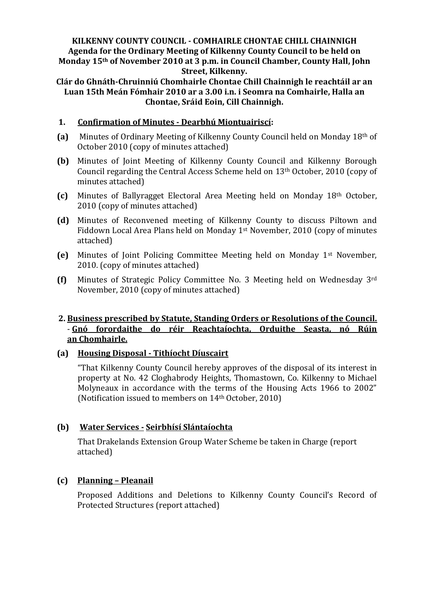### **KILKENNY COUNTY COUNCIL - COMHAIRLE CHONTAE CHILL CHAINNIGH Agenda for the Ordinary Meeting of Kilkenny County Council to be held on Monday 15th of November 2010 at 3 p.m. in Council Chamber, County Hall, John Street, Kilkenny.**

**Clár do Ghnáth-Chruinniú Chomhairle Chontae Chill Chainnigh le reachtáil ar an Luan 15th Meán Fómhair 2010 ar a 3.00 i.n. i Seomra na Comhairle, Halla an Chontae, Sráid Eoin, Cill Chainnigh.**

### **1. Confirmation of Minutes - Dearbhú Miontuairiscí:**

- **(a)** Minutes of Ordinary Meeting of Kilkenny County Council held on Monday 18th of October 2010 (copy of minutes attached)
- **(b)** Minutes of Joint Meeting of Kilkenny County Council and Kilkenny Borough Council regarding the Central Access Scheme held on 13th October, 2010 (copy of minutes attached)
- **(c)** Minutes of Ballyragget Electoral Area Meeting held on Monday 18th October, 2010 (copy of minutes attached)
- **(d)** Minutes of Reconvened meeting of Kilkenny County to discuss Piltown and Fiddown Local Area Plans held on Monday 1st November, 2010 (copy of minutes attached)
- **(e)** Minutes of Joint Policing Committee Meeting held on Monday 1st November, 2010. (copy of minutes attached)
- **(f)** Minutes of Strategic Policy Committee No. 3 Meeting held on Wednesday 3rd November, 2010 (copy of minutes attached)

# **2. Business prescribed by Statute, Standing Orders or Resolutions of the Council.** - **Gnó forordaithe do réir Reachtaíochta, Orduithe Seasta, nó Rúin an Chomhairle.**

### **(a) Housing Disposal - Tithíocht Díuscairt**

"That Kilkenny County Council hereby approves of the disposal of its interest in property at No. 42 Cloghabrody Heights, Thomastown, Co. Kilkenny to Michael Molyneaux in accordance with the terms of the Housing Acts 1966 to 2002" (Notification issued to members on 14th October, 2010)

### **(b) Water Services - Seirbhísí Slántaíochta**

That Drakelands Extension Group Water Scheme be taken in Charge (report attached)

### **(c) Planning – Pleanail**

Proposed Additions and Deletions to Kilkenny County Council's Record of Protected Structures (report attached)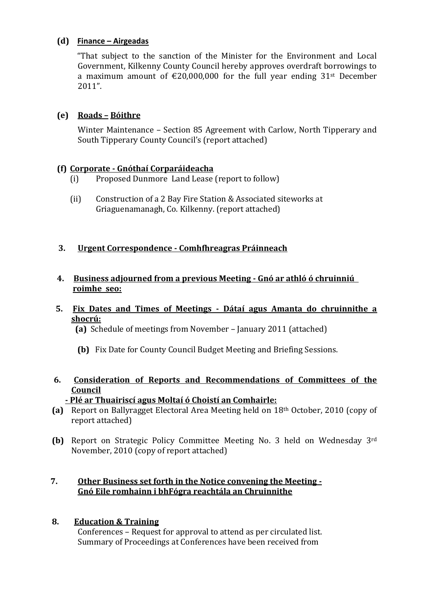# **(d) Finance – Airgeadas**

"That subject to the sanction of the Minister for the Environment and Local Government, Kilkenny County Council hereby approves overdraft borrowings to a maximum amount of  $\epsilon$ 20,000,000 for the full year ending 31<sup>st</sup> December 2011".

# **(e) Roads – Bóithre**

Winter Maintenance – Section 85 Agreement with Carlow, North Tipperary and South Tipperary County Council's (report attached)

# **(f) Corporate - Gnóthaí Corparáideacha**

- (i) Proposed Dunmore Land Lease (report to follow)
- (ii) Construction of a 2 Bay Fire Station & Associated siteworks at Griaguenamanagh, Co. Kilkenny. (report attached)

# **3. Urgent Correspondence - Comhfhreagras Práinneach**

**4. Business adjourned from a previous Meeting - Gnó ar athló ó chruinniú roimhe seo:**

# **5. Fix Dates and Times of Meetings - Dátaí agus Amanta do chruinnithe a shocrú:**

 **(a)** Schedule of meetings from November – January 2011 (attached)

- **(b)** Fix Date for County Council Budget Meeting and Briefing Sessions.
- **6. Consideration of Reports and Recommendations of Committees of the Council**
	- **- Plé ar Thuairiscí agus Moltaí ó Choistí an Comhairle:**
- **(a)** Report on Ballyragget Electoral Area Meeting held on 18th October, 2010 (copy of report attached)
- **(b)** Report on Strategic Policy Committee Meeting No. 3 held on Wednesday 3rd November, 2010 (copy of report attached)

# **7. Other Business set forth in the Notice convening the Meeting - Gnó Eile romhainn i bhFógra reachtála an Chruinnithe**

# **8. Education & Training**

Conferences – Request for approval to attend as per circulated list. Summary of Proceedings at Conferences have been received from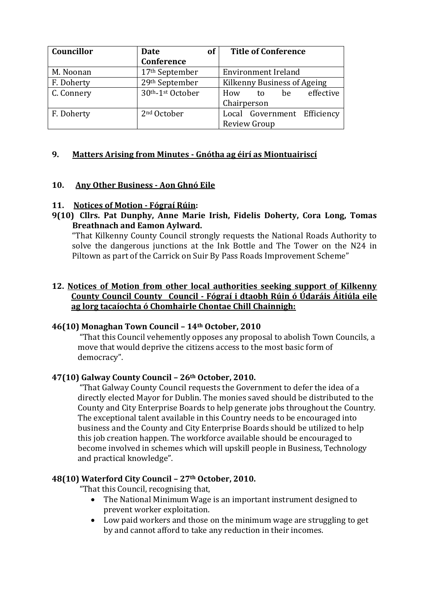| Councillor | Date                       | <b>of</b> | <b>Title of Conference</b>  |    |    |                             |
|------------|----------------------------|-----------|-----------------------------|----|----|-----------------------------|
|            | Conference                 |           |                             |    |    |                             |
| M. Noonan  | 17 <sup>th</sup> September |           | <b>Environment Ireland</b>  |    |    |                             |
| F. Doherty | 29th September             |           | Kilkenny Business of Ageing |    |    |                             |
| C. Connery | 30th-1st October           |           | How                         | to | be | effective                   |
|            |                            |           | Chairperson                 |    |    |                             |
| F. Doherty | 2 <sup>nd</sup> October    |           |                             |    |    | Local Government Efficiency |
|            |                            |           | <b>Review Group</b>         |    |    |                             |

# **9. Matters Arising from Minutes - Gnótha ag éirí as Miontuairiscí**

# **10. Any Other Business - Aon Ghnó Eile**

# **11. Notices of Motion - Fógraí Rúin:**

**9(10) Cllrs. Pat Dunphy, Anne Marie Irish, Fidelis Doherty, Cora Long, Tomas Breathnach and Eamon Aylward.** 

"That Kilkenny County Council strongly requests the National Roads Authority to solve the dangerous junctions at the Ink Bottle and The Tower on the N24 in Piltown as part of the Carrick on Suir By Pass Roads Improvement Scheme"

# **12. Notices of Motion from other local authorities seeking support of Kilkenny County Council County Council - Fógraí i dtaobh Rúin ó Údaráis Áitiúla eile ag lorg tacaíochta ó Chomhairle Chontae Chill Chainnigh:**

### **46(10) Monaghan Town Council – 14th October, 2010**

"That this Council vehemently opposes any proposal to abolish Town Councils, a move that would deprive the citizens access to the most basic form of democracy".

### **47(10) Galway County Council – 26th October, 2010.**

"That Galway County Council requests the Government to defer the idea of a directly elected Mayor for Dublin. The monies saved should be distributed to the County and City Enterprise Boards to help generate jobs throughout the Country. The exceptional talent available in this Country needs to be encouraged into business and the County and City Enterprise Boards should be utilized to help this job creation happen. The workforce available should be encouraged to become involved in schemes which will upskill people in Business, Technology and practical knowledge".

### **48(10) Waterford City Council – 27th October, 2010.**

"That this Council, recognising that,

- The National Minimum Wage is an important instrument designed to prevent worker exploitation.
- Low paid workers and those on the minimum wage are struggling to get by and cannot afford to take any reduction in their incomes.